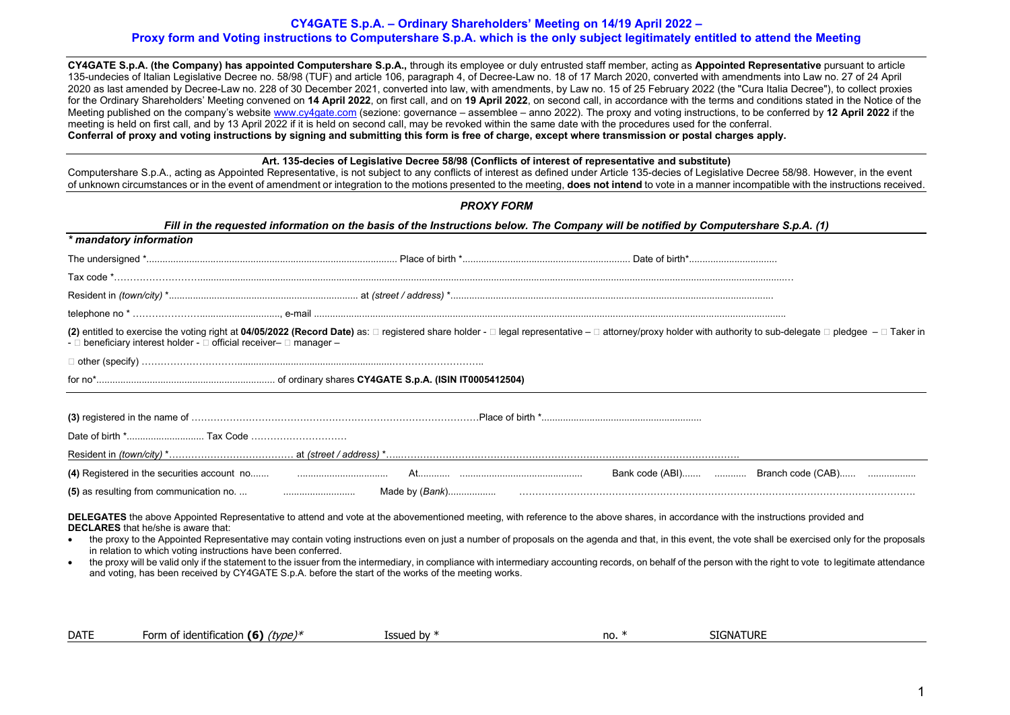## **CY4GATE S.p.A. – Ordinary Shareholders' Meeting on 14/19 April 2022 – Proxy form and Voting instructions to Computershare S.p.A. which is the only subject legitimately entitled to attend the Meeting**

**CY4GATE S.p.A. (the Company) has appointed Computershare S.p.A.,** through its employee or duly entrusted staff member, acting as **Appointed Representative** pursuant to article 135-undecies of Italian Legislative Decree no. 58/98 (TUF) and article 106, paragraph 4, of Decree-Law no. 18 of 17 March 2020, converted with amendments into Law no. 27 of 24 April 2020 as last amended by Decree-Law no. 228 of 30 December 2021, converted into law, with amendments, by Law no. 15 of 25 February 2022 (the "Cura Italia Decree"), to collect proxies for the Ordinary Shareholders' Meeting convened on **14 April 2022**, on first call, and on **19 April 2022**, on second call, in accordance with the terms and conditions stated in the Notice of the Meeting published on the company's website [www.cy4gate.com](http://www.cy4gate.com/) (sezione: governance – assemblee – anno 2022). The proxy and voting instructions, to be conferred by **12 April 2022** if the meeting is held on first call, and by 13 April 2022 if it is held on second call, may be revoked within the same date with the procedures used for the conferral. **Conferral of proxy and voting instructions by signing and submitting this form is free of charge, except where transmission or postal charges apply.**

## **Art. 135-decies of Legislative Decree 58/98 (Conflicts of interest of representative and substitute)**

Computershare S.p.A., acting as Appointed Representative, is not subject to any conflicts of interest as defined under Article 135-decies of Legislative Decree 58/98. However, in the event of unknown circumstances or in the event of amendment or integration to the motions presented to the meeting, **does not intend** to vote in a manner incompatible with the instructions received.

| <b>PROXY FORM</b>                                                                                                                                                                                                                                                                                                                                                                                                                                                                                                                                                                                                                                                                                                                                                                                                                     |
|---------------------------------------------------------------------------------------------------------------------------------------------------------------------------------------------------------------------------------------------------------------------------------------------------------------------------------------------------------------------------------------------------------------------------------------------------------------------------------------------------------------------------------------------------------------------------------------------------------------------------------------------------------------------------------------------------------------------------------------------------------------------------------------------------------------------------------------|
| Fill in the requested information on the basis of the Instructions below. The Company will be notified by Computershare S.p.A. (1)                                                                                                                                                                                                                                                                                                                                                                                                                                                                                                                                                                                                                                                                                                    |
| * mandatory information                                                                                                                                                                                                                                                                                                                                                                                                                                                                                                                                                                                                                                                                                                                                                                                                               |
|                                                                                                                                                                                                                                                                                                                                                                                                                                                                                                                                                                                                                                                                                                                                                                                                                                       |
|                                                                                                                                                                                                                                                                                                                                                                                                                                                                                                                                                                                                                                                                                                                                                                                                                                       |
|                                                                                                                                                                                                                                                                                                                                                                                                                                                                                                                                                                                                                                                                                                                                                                                                                                       |
|                                                                                                                                                                                                                                                                                                                                                                                                                                                                                                                                                                                                                                                                                                                                                                                                                                       |
| (2) entitled to exercise the voting right at 04/05/2022 (Record Date) as: □ registered share holder - □ legal representative - □ attorney/proxy holder with authority to sub-delegate □ pledgee - □ Taker in<br>- □ beneficiary interest holder - □ official receiver- □ manager -                                                                                                                                                                                                                                                                                                                                                                                                                                                                                                                                                    |
|                                                                                                                                                                                                                                                                                                                                                                                                                                                                                                                                                                                                                                                                                                                                                                                                                                       |
|                                                                                                                                                                                                                                                                                                                                                                                                                                                                                                                                                                                                                                                                                                                                                                                                                                       |
|                                                                                                                                                                                                                                                                                                                                                                                                                                                                                                                                                                                                                                                                                                                                                                                                                                       |
|                                                                                                                                                                                                                                                                                                                                                                                                                                                                                                                                                                                                                                                                                                                                                                                                                                       |
|                                                                                                                                                                                                                                                                                                                                                                                                                                                                                                                                                                                                                                                                                                                                                                                                                                       |
|                                                                                                                                                                                                                                                                                                                                                                                                                                                                                                                                                                                                                                                                                                                                                                                                                                       |
| Bank code (ABI)  Branch code (CAB)                                                                                                                                                                                                                                                                                                                                                                                                                                                                                                                                                                                                                                                                                                                                                                                                    |
|                                                                                                                                                                                                                                                                                                                                                                                                                                                                                                                                                                                                                                                                                                                                                                                                                                       |
| DELEGATES the above Appointed Representative to attend and vote at the abovementioned meeting, with reference to the above shares, in accordance with the instructions provided and<br><b>DECLARES</b> that he/she is aware that:<br>the proxy to the Appointed Representative may contain voting instructions even on just a number of proposals on the agenda and that, in this event, the vote shall be exercised only for the proposals<br>in relation to which voting instructions have been conferred.<br>the proxy will be valid only if the statement to the issuer from the intermediary, in compliance with intermediary accounting records, on behalf of the person with the right to vote to legitimate attendance<br>and voting, has been received by CY4GATE S.p.A. before the start of the works of the meeting works. |

| <b>DATF</b> | .<br>∙orm<br>- 16<br>. itification<br>'type)*<br>a identit. | ` hv<br><b>SSUE</b> | no. | <b>TURE</b><br>SIGNA |  |
|-------------|-------------------------------------------------------------|---------------------|-----|----------------------|--|
|             |                                                             |                     |     |                      |  |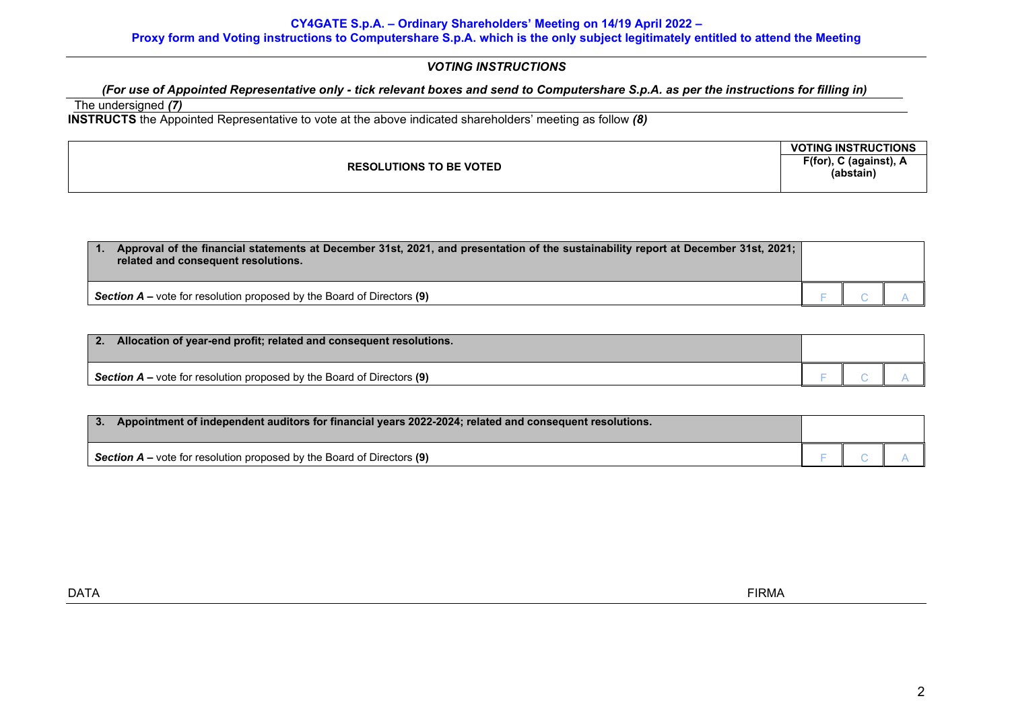## **CY4GATE S.p.A. – Ordinary Shareholders' Meeting on 14/19 April 2022 – Proxy form and Voting instructions to Computershare S.p.A. which is the only subject legitimately entitled to attend the Meeting**

# *VOTING INSTRUCTIONS*

# *(For use of Appointed Representative only - tick relevant boxes and send to Computershare S.p.A. as per the instructions for filling in)*

# The undersigned *(7)*

**INSTRUCTS** the Appointed Representative to vote at the above indicated shareholders' meeting as follow *(8)*

|                                | <b>VOTING INSTRUCTIONS</b>          |
|--------------------------------|-------------------------------------|
| <b>RESOLUTIONS TO BE VOTED</b> | F(for), C (against), A<br>(abstain) |

| Approval of the financial statements at December 31st, 2021, and presentation of the sustainability report at December 31st, 2021;<br>related and consequent resolutions. |  |  |
|---------------------------------------------------------------------------------------------------------------------------------------------------------------------------|--|--|
| <b>Section A</b> – vote for resolution proposed by the Board of Directors (9)                                                                                             |  |  |

| 2.<br>Allocation of year-end profit; related and consequent resolutions.        |  |  |
|---------------------------------------------------------------------------------|--|--|
| <b>Section A</b> – vote for resolution proposed by the Board of Directors $(9)$ |  |  |

| Appointment of independent auditors for financial years 2022-2024; related and consequent resolutions. |  |  |
|--------------------------------------------------------------------------------------------------------|--|--|
| Section $A$ – vote for resolution proposed by the Board of Directors $(9)$                             |  |  |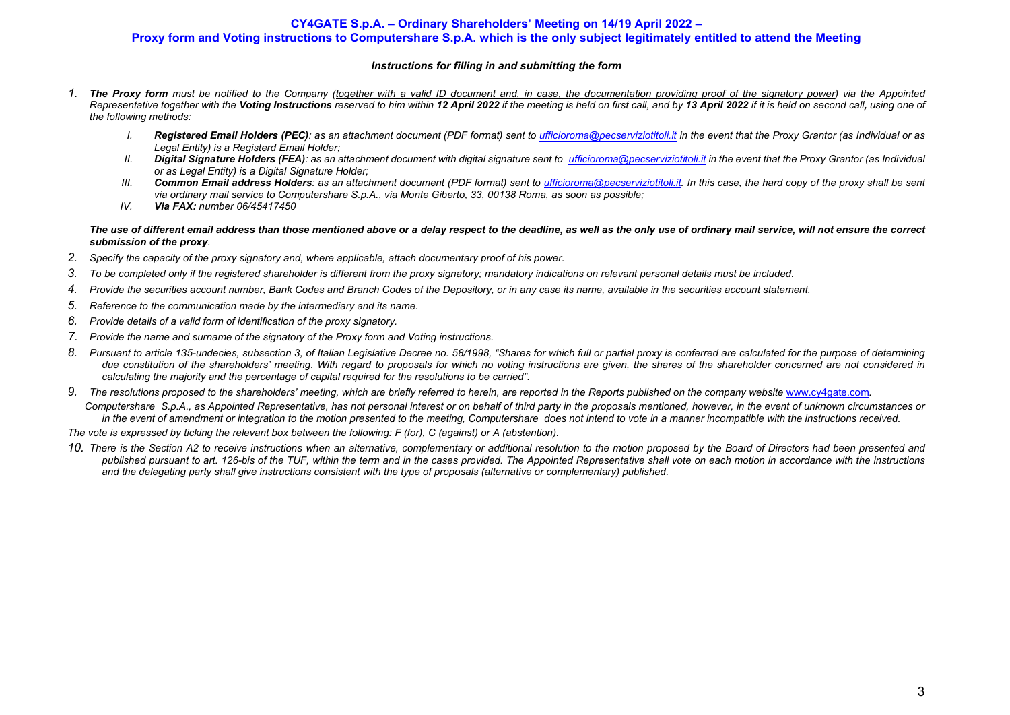## *Instructions for filling in and submitting the form*

- *1. The Proxy form must be notified to the Company (together with a valid ID document and, in case, the documentation providing proof of the signatory power) via the Appointed*  Representative together with the Voting Instructions reserved to him within 12 April 2022 if the meeting is held on first call, and by 13 April 2022 if it is held on second call, using one of *the following methods:*
	- *I.* Registered Email Holders (PEC): as an attachment document (PDF format) sent t[o ufficioroma@pecserviziotitoli.it](mailto:ufficioroma@pecserviziotitoli.it) in the event that the Proxy Grantor (as Individual or as *Legal Entity) is a Registerd Email Holder;*
	- *II. Digital Signature Holders (FEA): as an attachment document with digital signature sent t[o ufficioroma@pecserviziotitoli.it](mailto:xxxxx@pecserviziotitoli.it) in the event that the Proxy Grantor (as Individual or as Legal Entity) is a Digital Signature Holder;*
	- *III. Common Email address Holders: as an attachment document (PDF format) sent to [ufficioroma@pecserviziotitoli.it.](mailto:ufficioroma@pecserviziotitoli.it) In this case, the hard copy of the proxy shall be sent via ordinary mail service to Computershare S.p.A., via Monte Giberto, 33, 00138 Roma, as soon as possible;*
	- *IV. Via FAX: number 06/45417450*

## *The use of different email address than those mentioned above or a delay respect to the deadline, as well as the only use of ordinary mail service, will not ensure the correct submission of the proxy.*

- *2. Specify the capacity of the proxy signatory and, where applicable, attach documentary proof of his power.*
- *3. To be completed only if the registered shareholder is different from the proxy signatory; mandatory indications on relevant personal details must be included.*
- *4. Provide the securities account number, Bank Codes and Branch Codes of the Depository, or in any case its name, available in the securities account statement.*
- *5. Reference to the communication made by the intermediary and its name.*
- *6. Provide details of a valid form of identification of the proxy signatory.*
- *7. Provide the name and surname of the signatory of the Proxy form and Voting instructions.*
- *8. Pursuant to article 135-undecies, subsection 3, of Italian Legislative Decree no. 58/1998, "Shares for which full or partial proxy is conferred are calculated for the purpose of determining due constitution of the shareholders' meeting. With regard to proposals for which no voting instructions are given, the shares of the shareholder concerned are not considered in calculating the majority and the percentage of capital required for the resolutions to be carried".*
- 9. The resolutions proposed to the shareholders' meeting, which are briefly referred to herein, are reported in the Reports published on the company website [www.cy4gate.com](http://www.cy4gate.com/).

 *Computershare S.p.A., as Appointed Representative, has not personal interest or on behalf of third party in the proposals mentioned, however, in the event of unknown circumstances or*  in the event of amendment or integration to the motion presented to the meeting, Computershare does not intend to vote in a manner incompatible with the instructions received.

*The vote is expressed by ticking the relevant box between the following: F (for), C (against) or A (abstention).*

*10. There is the Section A2 to receive instructions when an alternative, complementary or additional resolution to the motion proposed by the Board of Directors had been presented and published pursuant to art. 126-bis of the TUF, within the term and in the cases provided. The Appointed Representative shall vote on each motion in accordance with the instructions and the delegating party shall give instructions consistent with the type of proposals (alternative or complementary) published.*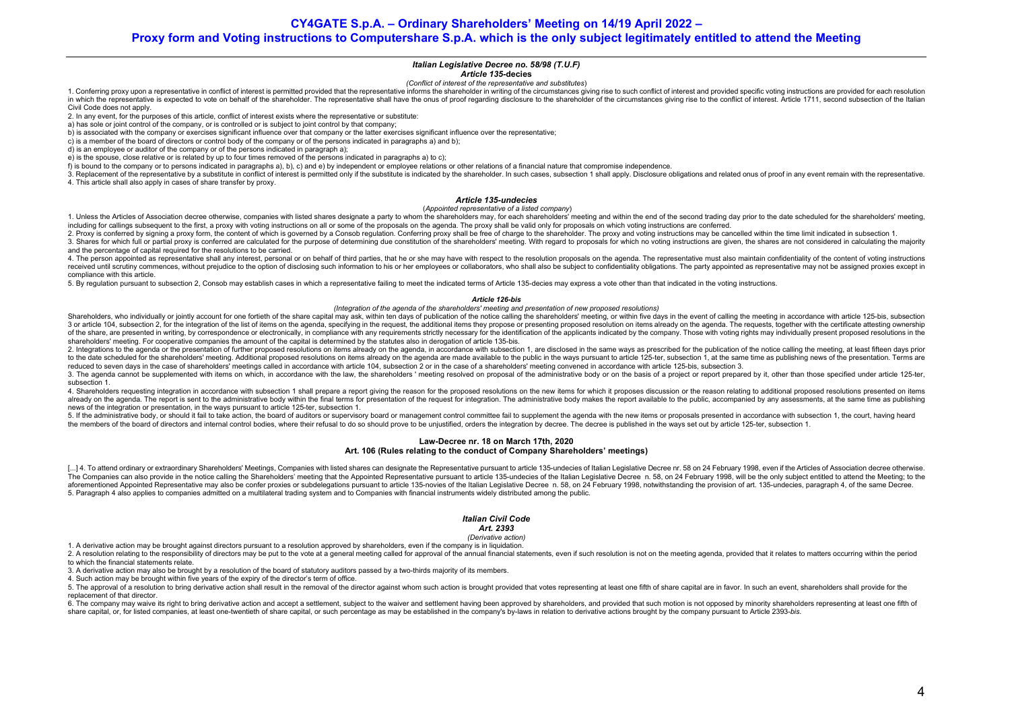**CY4GATE S.p.A. – Ordinary Shareholders' Meeting on 14/19 April 2022 –**

### **Proxy form and Voting instructions to Computershare S.p.A. which is the only subject legitimately entitled to attend the Meeting**

### *Italian Legislative Decree no. 58/98 (T.U.F)*

### *Article 135-***decies**

*(Conflict of interest of the representative and substitutes*)

1. Conferring proxy upon a representative in conflict of interest is permitted provided that the representative informs the shareholder in writing of the circumstances giving rise to such conflict of interest and provided in which the representative is expected to vote on behalf of the shareholder. The representative shall have the onus of proof regarding disclosure to the shareholder of the circumstances giving rise to the conflict of inte Civil Code does not apply.

2. In any event, for the purposes of this article, conflict of interest exists where the representative or substitute:

a) has sole or joint control of the company, or is controlled or is subject to joint control by that company;

b) is associated with the company or exercises significant influence over that company or the latter exercises significant influence over the representative;

c) is a member of the board of directors or control body of the company or of the persons indicated in paragraphs a) and b);

d) is an employee or auditor of the company or of the persons indicated in paragraph a);

e) is the spouse, close relative or is related by up to four times removed of the persons indicated in paragraphs a) to c);

f) is bound to the company or to persons indicated in paragraphs a), b), c) and e) by independent or employee relations or other relations of a financial nature that compromise independence.

3. Replacement of the representative by a substitute in conflict of interest is permitted only if the substitute is indicated by the shareholder. In such cases, subsection 1 shall apply. Disclosure obligations and related 4. This article shall also apply in cases of share transfer by proxy.

### *Article 135-undecies*

(*Appointed representative of a listed company*)

1. Unless the Articles of Association decree otherwise, companies with listed shares designate a party to whom the shareholders may, for each shareholders' meeting and within the end of the second trading day prior to the including for callings subsequent to the first, a proxy with voting instructions on all or some of the proposals on the agenda. The proxy shall be valid only for proposals on which voting instructions are conferred.

2. Proxy is conferred by signing a proxy form, the content of which is governed by a Consob regulation. Conferring proxy shall be free of charge to the shareholder. The proxy and yoting instructions may be cancelled within

3. Shares for which full or partial proxy is conferred are calculated for the purpose of determining due constitution of the shareholders' meeting. With regard to proposals for which no voting instructions are given, the s and the percentage of capital required for the resolutions to be carried.

4. The person appointed as representative shall any interest, personal or on behalf of third parties, that he or she may have with respect to the resolution proposals on the agenda. The representative must also maintain co received until scrutiny commences, without prejudice to the option of disclosing such information to his or her employees or collaborators, who shall also be subject to confidentiality obligations. The party appointed as r compliance with this article.

5. By regulation pursuant to subsection 2. Consob may establish cases in which a representative failing to meet the indicated terms of Article 135-decies may express a vote other than that indicated in the voting instructi

#### *Article 126-bis*

#### *(Integration of the agenda of the shareholders' meeting and presentation of new proposed resolutions)*

Shareholders, who individually or iointly account for one fortieth of the share capital may ask, within ten days of publication of the notice calling the shareholders' meeting, or within five days in the event of calling t 3 or article 104, subsection 2, for the integration of the list of items on the agenda, specifying in the request, the additional items they propose or presenting proposed resolution on items already on the agenda. The req of the share, are presented in writing, by correspondence or electronically, in compliance with any requirements strictly necessary for the identification of the applicants indicated by the company. Those with voting right shareholders' meeting. For cooperative companies the amount of the capital is determined by the statutes also in derogation of article 13[5-bis.](http://www.consob.it/mainen/documenti/english/laws/fr_decree58_1998.htm#sdfootnote595bissym) 

2. Integrations to the agenda or the presentation of further proposed resolutions on items already on the agenda, in accordance with subsection 1, are disclosed in the same ways as prescribed for the publication of the not to the date scheduled for the shareholders' meeting Additional proposed resolutions on items already on the agenda are made available to the public in the ways pursuant to article 125-ter, subsection 1, at the same time as reduced to seven days in the case of shareholders' meetings called in accordance with article 104, subsection 2 or in the case of a shareholders' meeting convened in accordance with article 125-bis, subsection 3.

3. The agenda cannot be supplemented with items on which, in accordance with the law, the shareholders' meeting resolved on proposal of the administrative body or on the basis of a project or report prepared by it, other t subsection 1.

4. Shareholders requesting integration in accordance with subsection 1 shall prepare a report giving the reason for the proposed resolutions on the new items for which it proposes discussion or the reason relating to addit already on the agenda. The report is sent to the administrative body within the final terms for presentation of the request for integration. The administrative body makes the report available to the public, accompanied by news of the integration or presentation, in the ways pursuant to article 125-ter, subsection 1.

5. If the administrative body, or should it fail to take action, the board of auditors or supervisory board or management control committee fail to supplement the agenda with the new items or proposals presented in accorda the members of the board of directors and internal control bodies, where their refusal to do so should prove to be unjustified, orders the integration by decree. The decree is published in the ways set out by article 125-t

#### **Law-Decree nr. 18 on March 17th, 2020 Art. 106 (Rules relating to the conduct of Company Shareholders' meetings)**

[...] 4. To attend ordinary or extraordinary Shareholders' Meetings, Companies with listed shares can designate the Representative pursuant to article 135-undecies of Italian Legislative Decree nr. 58 on 24 February 1998, The Companies can also provide in the notice calling the Shareholders' meeting that the Appointed Representative pursuant to article 135-undecies of the Italian Legislative Decree n. 58, on 24 February 1998, will be the on aforementioned Appointed Representative may also be confer proxies or subdelegations pursuant to article 135-novies of the Italian Legislative Decree n. 58, on 24 February 1998, nowithstanding the provision of art. 135-und 5. Paragraph 4 also applies to companies admitted on a multilateral trading system and to Companies with financial instruments widely distributed among the public.

#### *Italian Civil Code*

#### *Art. 2393*

*(Derivative action)*

1. A derivative action may be brought against directors pursuant to a resolution approved by shareholders, even if the company is in liquidation.

2. A resolution relating to the responsibility of directors may be put to the vote at a general meeting called for approval of the annual financial statements, even if such resolution is not on the meeting agenda, provided to which the financial statements relate.

3. A derivative action may also be brought by a resolution of the board of statutory auditors passed by a two-thirds majority of its members.

4. Such action may be brought within five years of the expiry of the director's term of office.

5. The approval of a resolution to bring derivative action shall result in the removal of the director against whom such action is brought provided that votes representing at least one fifth of share capital are in favor. replacement of that director.

6. The company may waive its right to bring derivative action and accept a settlement, subject to the waiver and settlement having been approved by shareholders, and provided that such motion is not opposed by minority sha share capital, or, for listed companies, at least one-twentieth of share capital, or such percentage as may be established in the company's by-laws in relation to derivative actions brought by the company pursuant to Artic